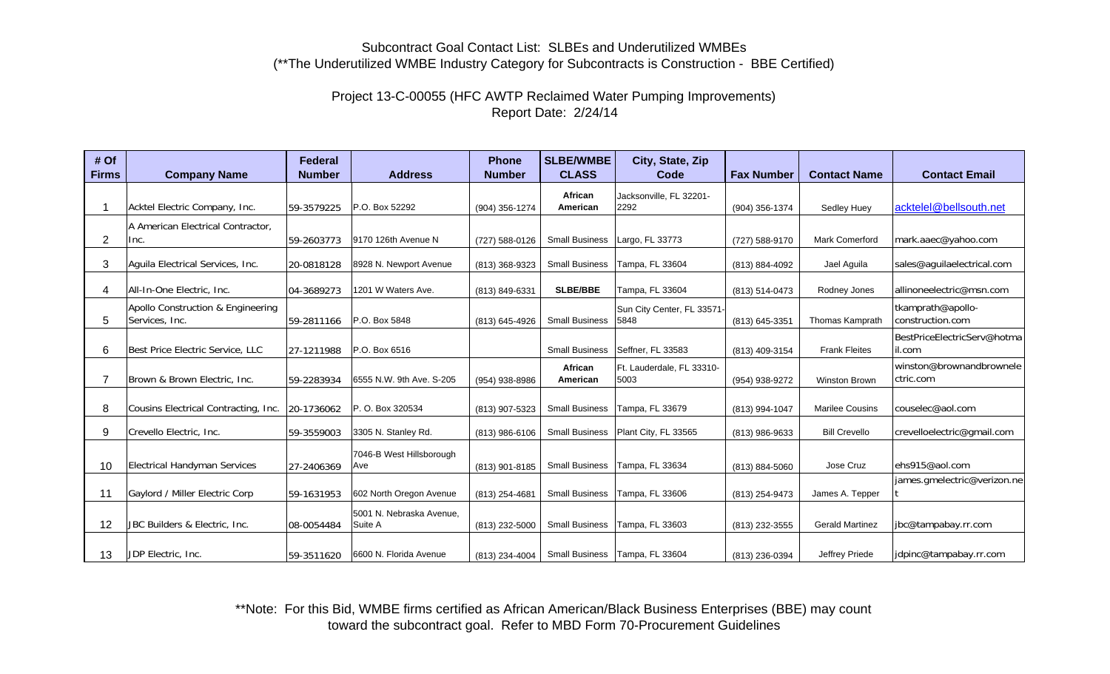## Subcontract Goal Contact List: SLBEs and Underutilized WMBEs (\*\*The Underutilized WMBE Industry Category for Subcontracts is Construction - BBE Certified)

## Project 13-C-00055 (HFC AWTP Reclaimed Water Pumping Improvements) Report Date: 2/24/14

| # Of           |                                      | Federal       |                          | <b>Phone</b>   | <b>SLBE/WMBE</b>      | City, State, Zip                 |                   |                        |                             |
|----------------|--------------------------------------|---------------|--------------------------|----------------|-----------------------|----------------------------------|-------------------|------------------------|-----------------------------|
| <b>Firms</b>   | <b>Company Name</b>                  | <b>Number</b> | <b>Address</b>           | <b>Number</b>  | <b>CLASS</b>          | Code                             | <b>Fax Number</b> | <b>Contact Name</b>    | <b>Contact Email</b>        |
|                |                                      |               |                          |                | African               | Jacksonville, FL 32201-          |                   |                        |                             |
|                | Acktel Electric Company, Inc.        | 59-3579225    | P.O. Box 52292           | (904) 356-1274 | American              | 2292                             | (904) 356-1374    | Sedley Huey            | acktelel@bellsouth.net      |
|                | A American Electrical Contractor.    |               |                          |                |                       |                                  |                   |                        |                             |
| $\overline{2}$ | Inc.                                 | 59-2603773    | 9170 126th Avenue N      | (727) 588-0126 | <b>Small Business</b> | Largo, FL 33773                  | (727) 588-9170    | <b>Mark Comerford</b>  | mark.aaec@yahoo.com         |
|                |                                      |               |                          |                |                       |                                  |                   |                        |                             |
| 3              | Aguila Electrical Services, Inc.     | 20-0818128    | 8928 N. Newport Avenue   | (813) 368-9323 | <b>Small Business</b> | Tampa, FL 33604                  | (813) 884-4092    | Jael Aguila            | sales@aguilaelectrical.com  |
| 4              | All-In-One Electric, Inc.            | 04-3689273    | 1201 W Waters Ave.       | (813) 849-6331 | <b>SLBE/BBE</b>       | Tampa, FL 33604                  | (813) 514-0473    | Rodney Jones           | allinoneelectric@msn.com    |
|                | Apollo Construction & Engineering    |               |                          |                |                       | Sun City Center, FL 33571-       |                   |                        | tkamprath@apollo-           |
| 5              | Services, Inc.                       | 59-2811166    | P.O. Box 5848            | (813) 645-4926 | <b>Small Business</b> | 5848                             | (813) 645-3351    | Thomas Kamprath        | construction.com            |
|                |                                      |               |                          |                |                       |                                  |                   |                        | BestPriceElectricServ@hotma |
| 6              | Best Price Electric Service, LLC     | 27-1211988    | P.O. Box 6516            |                | <b>Small Business</b> | Seffner, FL 33583                | (813) 409-3154    | <b>Frank Fleites</b>   | il.com                      |
|                |                                      |               |                          |                | African               | Ft. Lauderdale, FL 33310-        |                   |                        | winston@brownandbrownele    |
|                | Brown & Brown Electric, Inc.         | 59-2283934    | 6555 N.W. 9th Ave. S-205 | (954) 938-8986 | American              | 5003                             | (954) 938-9272    | <b>Winston Brown</b>   | ctric.com                   |
|                |                                      |               |                          |                |                       |                                  |                   |                        |                             |
| 8              | Cousins Electrical Contracting, Inc. | 20-1736062    | P.O. Box 320534          | (813) 907-5323 | <b>Small Business</b> | Tampa, FL 33679                  | (813) 994-1047    | <b>Marilee Cousins</b> | couselec@aol.com            |
| 9              | Crevello Electric, Inc.              | 59-3559003    | 3305 N. Stanley Rd.      | (813) 986-6106 | <b>Small Business</b> | Plant City, FL 33565             | (813) 986-9633    | <b>Bill Crevello</b>   | crevelloelectric@gmail.com  |
|                |                                      |               | 7046-B West Hillsborough |                |                       |                                  |                   |                        |                             |
| 10             | <b>Electrical Handyman Services</b>  | 27-2406369    | Ave                      | (813) 901-8185 | <b>Small Business</b> | Tampa, FL 33634                  | (813) 884-5060    | Jose Cruz              | ehs915@aol.com              |
|                |                                      |               |                          |                |                       |                                  |                   |                        | james.gmelectric@verizon.ne |
| 11             | Gaylord / Miller Electric Corp       | 59-1631953    | 602 North Oregon Avenue  | (813) 254-4681 | <b>Small Business</b> | Tampa, FL 33606                  | (813) 254-9473    | James A. Tepper        |                             |
|                |                                      |               | 5001 N. Nebraska Avenue, |                |                       |                                  |                   |                        |                             |
| 12             | JBC Builders & Electric, Inc.        | 08-0054484    | Suite A                  | (813) 232-5000 | <b>Small Business</b> | Tampa, FL 33603                  | (813) 232-3555    | <b>Gerald Martinez</b> | jbc@tampabay.rr.com         |
|                |                                      |               |                          |                |                       |                                  |                   |                        |                             |
| 13             | JDP Electric, Inc.                   | 59-3511620    | 6600 N. Florida Avenue   | (813) 234-4004 |                       | Small Business   Tampa, FL 33604 | (813) 236-0394    | Jeffrey Priede         | jdpinc@tampabay.rr.com      |

\*\*Note: For this Bid, WMBE firms certified as African American/Black Business Enterprises (BBE) may count toward the subcontract goal. Refer to MBD Form 70-Procurement Guidelines